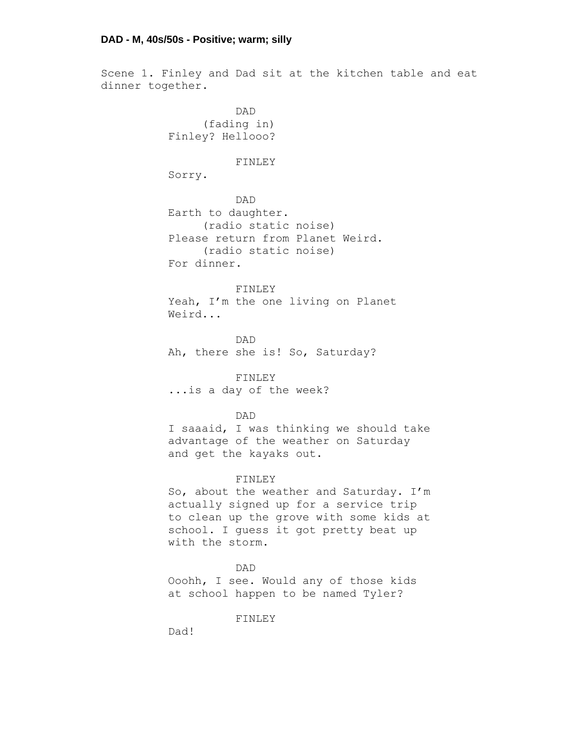Scene 1. Finley and Dad sit at the kitchen table and eat dinner together.

> DAD (fading in) Finley? Hellooo?

#### FINLEY

Sorry.

DAD Earth to daughter. (radio static noise) Please return from Planet Weird. (radio static noise) For dinner.

# FINLEY

Yeah, I'm the one living on Planet Weird...

DAD Ah, there she is! So, Saturday?

# FINLEY

...is a day of the week?

# DAD

I saaaid, I was thinking we should take advantage of the weather on Saturday and get the kayaks out.

# FINLEY

So, about the weather and Saturday. I'm actually signed up for a service trip to clean up the grove with some kids at school. I guess it got pretty beat up with the storm.

#### DAD

Ooohh, I see. Would any of those kids at school happen to be named Tyler?

FINLEY

Dad!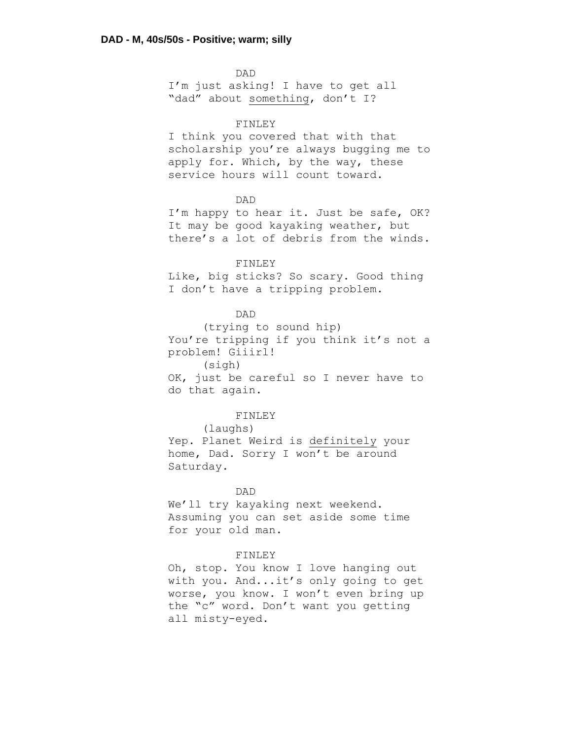DAD I'm just asking! I have to get all "dad" about something, don't I?

# FINLEY

I think you covered that with that scholarship you're always bugging me to apply for. Which, by the way, these service hours will count toward.

# DAD

I'm happy to hear it. Just be safe, OK? It may be good kayaking weather, but there's a lot of debris from the winds.

#### FINLEY

Like, big sticks? So scary. Good thing I don't have a tripping problem.

# DAD

(trying to sound hip) You're tripping if you think it's not a problem! Giiirl! (sigh) OK, just be careful so I never have to do that again.

### FINLEY

(laughs) Yep. Planet Weird is definitely your home, Dad. Sorry I won't be around Saturday.

# DAD

We'll try kayaking next weekend. Assuming you can set aside some time for your old man.

# FINLEY

Oh, stop. You know I love hanging out with you. And...it's only going to get worse, you know. I won't even bring up the "c" word. Don't want you getting all misty-eyed.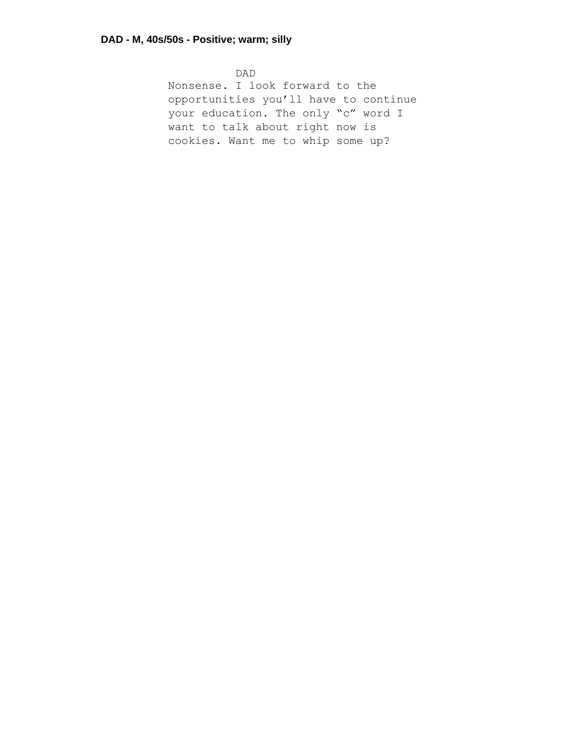DAD Nonsense. I look forward to the opportunities you'll have to continue your education. The only "c" word I want to talk about right now is cookies. Want me to whip some up?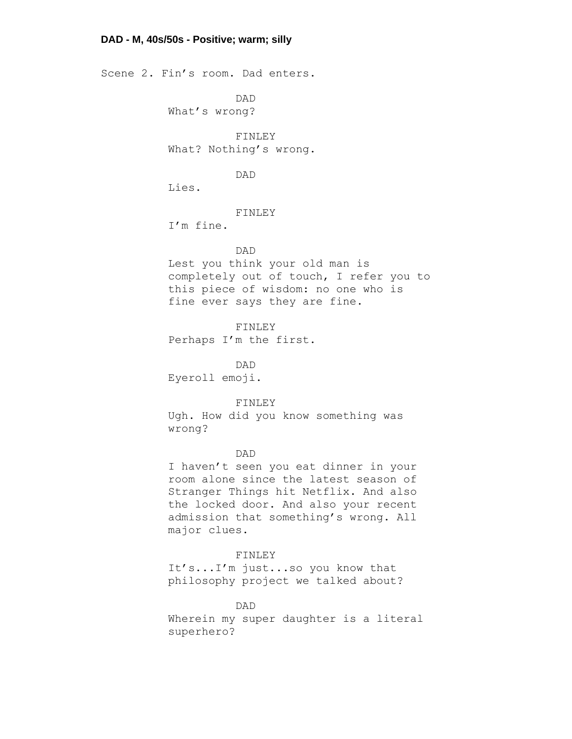# **DAD - M, 40s/50s - Positive; warm; silly**

Scene 2. Fin's room. Dad enters.

DAD What's wrong?

FINLEY What? Nothing's wrong.

# DAD

Lies.

# FINLEY

I'm fine.

# DAD

Lest you think your old man is completely out of touch, I refer you to this piece of wisdom: no one who is fine ever says they are fine.

FINLEY Perhaps I'm the first.

DAD Eyeroll emoji.

# FINLEY

Ugh. How did you know something was wrong?

### DAD

I haven't seen you eat dinner in your room alone since the latest season of Stranger Things hit Netflix. And also the locked door. And also your recent admission that something's wrong. All major clues.

# FINLEY

It's...I'm just...so you know that philosophy project we talked about?

DAD Wherein my super daughter is a literal superhero?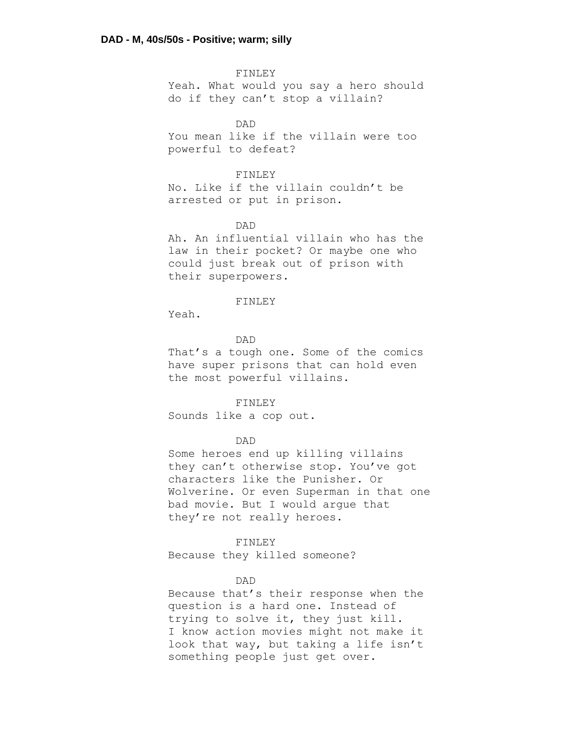FINLEY Yeah. What would you say a hero should do if they can't stop a villain?

DAD

You mean like if the villain were too powerful to defeat?

# FINLEY

No. Like if the villain couldn't be arrested or put in prison.

# DAD

Ah. An influential villain who has the law in their pocket? Or maybe one who could just break out of prison with their superpowers.

#### FINLEY

Yeah.

### DAD

That's a tough one. Some of the comics have super prisons that can hold even the most powerful villains.

#### FINLEY

Sounds like a cop out.

# DAD

Some heroes end up killing villains they can't otherwise stop. You've got characters like the Punisher. Or Wolverine. Or even Superman in that one bad movie. But I would argue that they're not really heroes.

# FINLEY

Because they killed someone?

# DAD

Because that's their response when the question is a hard one. Instead of trying to solve it, they just kill. I know action movies might not make it look that way, but taking a life isn't something people just get over.